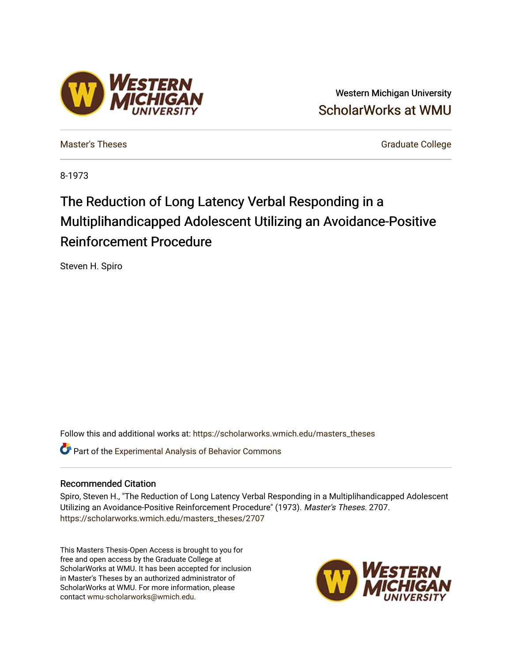## Western Michigan University [ScholarWorks at WMU](https://scholarworks.wmich.edu/)

[Master's Theses](https://scholarworks.wmich.edu/masters_theses) [Graduate College](https://scholarworks.wmich.edu/grad) Controller College College College College College

8-1973

# The Reduction of Long Latency Verbal Responding in a Multiplihandicapped Adolescent Utilizing an Avoidance-Positive Reinforcement Procedure

Steven H. Spiro

Follow this and additional works at: [https://scholarworks.wmich.edu/masters\\_theses](https://scholarworks.wmich.edu/masters_theses?utm_source=scholarworks.wmich.edu%2Fmasters_theses%2F2707&utm_medium=PDF&utm_campaign=PDFCoverPages) 

Part of the [Experimental Analysis of Behavior Commons](http://network.bepress.com/hgg/discipline/1236?utm_source=scholarworks.wmich.edu%2Fmasters_theses%2F2707&utm_medium=PDF&utm_campaign=PDFCoverPages) 

#### Recommended Citation

Spiro, Steven H., "The Reduction of Long Latency Verbal Responding in a Multiplihandicapped Adolescent Utilizing an Avoidance-Positive Reinforcement Procedure" (1973). Master's Theses. 2707. [https://scholarworks.wmich.edu/masters\\_theses/2707](https://scholarworks.wmich.edu/masters_theses/2707?utm_source=scholarworks.wmich.edu%2Fmasters_theses%2F2707&utm_medium=PDF&utm_campaign=PDFCoverPages) 

This Masters Thesis-Open Access is brought to you for free and open access by the Graduate College at ScholarWorks at WMU. It has been accepted for inclusion in Master's Theses by an authorized administrator of ScholarWorks at WMU. For more information, please contact [wmu-scholarworks@wmich.edu](mailto:wmu-scholarworks@wmich.edu).



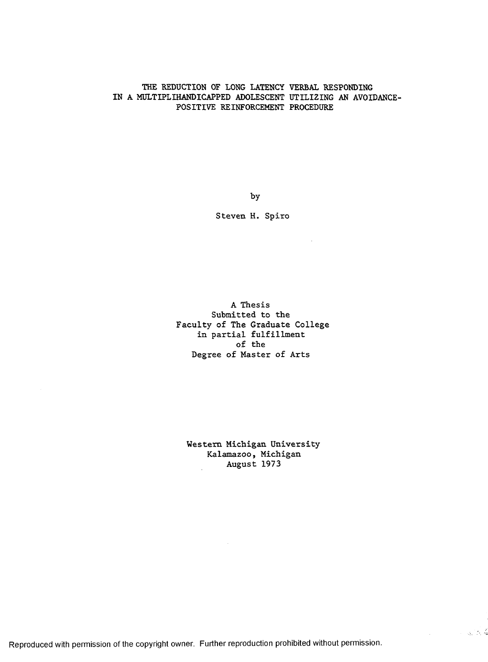THE REDUCTION OF LONG LATENCY VERBAL RESPONDING IN A MULTIPLIHANDICAPPED ADOLESCENT UTILIZING AN AVOIDANCE-POSITIVE REINFORCEMENT PROCEDURE

by

Steven H. Spiro

 $\mathcal{L}_{\mathcal{A}}$ 

 $\sim 32.5$   $\%$ 

A Thesis Submitted to the Faculty of The Graduate College in partial fulfillment of the Degree of Master of Arts

Western Michigan University Kalamazoo, Michigan August 1973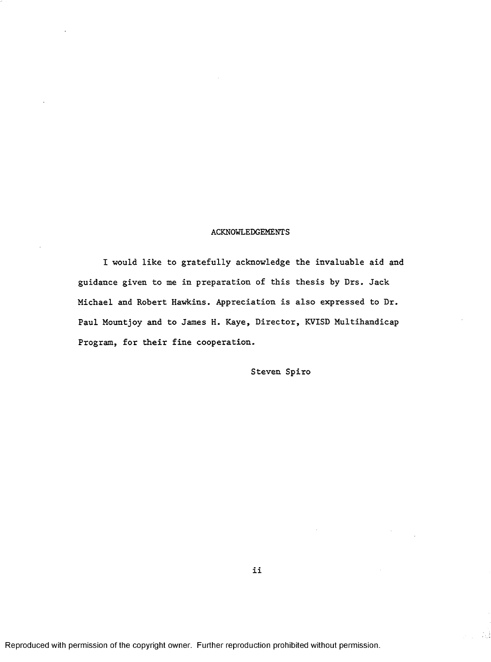#### **ACKNOWLEDGEMENTS**

I would like to gratefully acknowledge the invaluable aid and guidance given to me in preparation of this thesis by Drs. Jack Michael and Robert Hawkins. Appreciation is also expressed to Dr. Paul Mountjoy and to James H. Kaye, Director, KVISD Multihandicap Program, for their fine cooperation.

Steven Spiro

ii

 $\mathbb{Z}_2$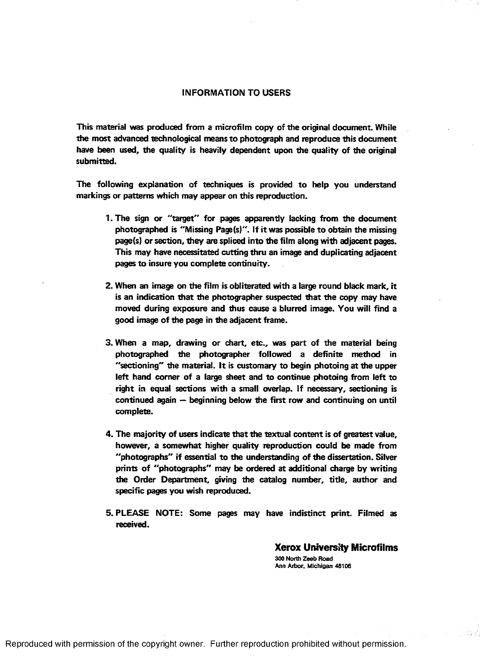#### **INFORMATION TO USERS**

**This material was produced from a microfilm copy of the original document. While the most advanced technological means to photograph and reproduce this document have been used, the quality is heavily dependent upon the quality of the original submitted.**

**The following explanation of techniques is provided to help you understand markings or patterns which may appear on this reproduction.**

- **1.The sign or "target" for pages apparently lacking from the document photographed is "Missing Page(s)". If it was possible to obtain the missing page(s) or section, they are spliced into the film along with adjacent pages. This may have necessitated cutting thru an image and duplicating adjacent pages to insure you complete continuity.**
- **2. When an image on the film is obliterated with a large round black mark, it is an indication that the photographer suspected that the copy may have moved during exposure and thus cause a blurred image. You will find a good image of the page in the adjacent frame.**
- **3. When a map, drawing or chart, etc., was part of the material being photographed the photographer followed a definite method in "sectioning" the material. It is customary to begin photoing at the upper left hand comer of a large sheet and to continue photoing from left to right in equal sections with a small overlap. If necessary, sectioning is continued again — beginning below the first row and continuing on until complete.**
- **4. The majority of users indicate that the textual content is of greatest value, however, a somewhat higher quality reproduction could be made from "photographs" if essential to the understanding of the dissertation. Silver prints of "photographs" may be ordered at additional charge by writing the Order Department, giving the catalog number, title, author and specific pages you wish reproduced.**
- **5. PLEASE NOTE: Some pages may have indistinct print. Filmed as received.**

**Xerox University Microfilms 300 North Zeeb Road Ann Arbor. Michigan 48106**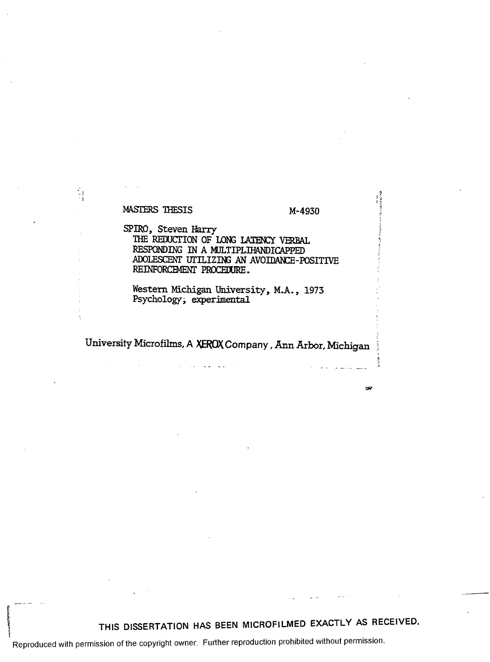#### MASTERS THESIS M-4930

 $\frac{1}{\sqrt{2}}$ 

යම

SPIRO, Steven Harry THE REDUCTION OF LONG LATENCY VERBAL RESPONDING IN A MULTIPLIHANDICAPPED ADOLESCENT UTILIZING AN AVOIDANCE-POSITIVE REINFORCEMENT PROCEDURE.

Western Michigan University, M.A., 1973 Psychology, experimental

**University Microfilms, A XEROX Company, Ann Arbor, Michigan** *)*

THIS DISSERTATION HAS BEEN MICROFILMED EXACTLY AS RECEIVED.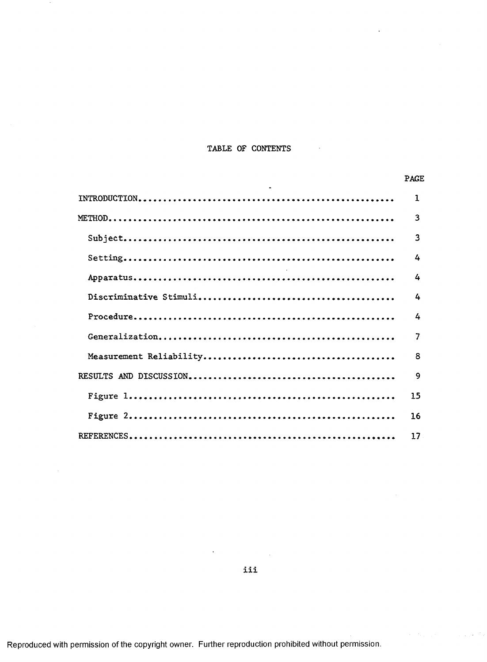### **TABLE OF CONTENTS**

 $\ddot{\phantom{a}}$ 

 $\bar{\beta}$ 

 $\cdot$ 

 $\bar{\lambda}$ 

 $\sim$ 

 $\frac{1}{2}$  ,  $\frac{1}{2}$  ,  $\frac{1}{2}$  ,  $\frac{1}{2}$  ,  $\frac{1}{2}$ 

 $\ddot{\phantom{a}}$ 

| ı  |
|----|
| 3  |
| 3  |
| 4  |
| 4  |
| 4  |
| 4  |
| 7  |
| 8  |
| 9  |
| 15 |
| 16 |
| 17 |

iii

 $\ddot{\phantom{0}}$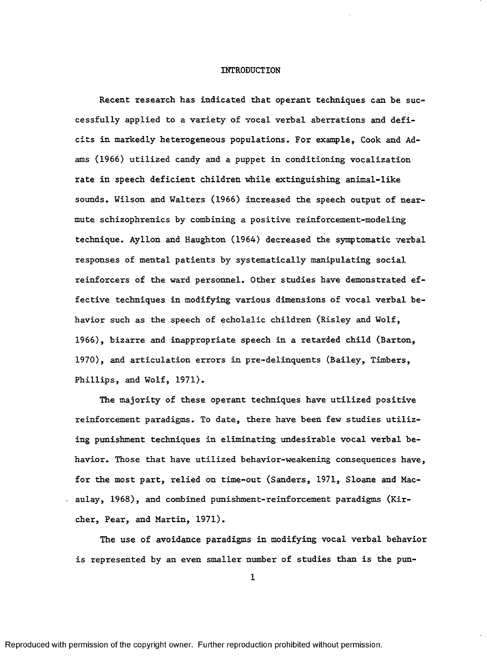#### **INTRODUCTION**

Recent research has indicated that operant techniques can be successfully applied to a variety of vocal verbal aberrations and deficits in markedly heterogeneous populations. For example, Cook and Adams (1966) utilized candy and a puppet in conditioning vocalization rate in speech deficient children while extinguishing animal-like sounds. Wilson and Walters (1966) increased the speech output of nearmute schizophrenics by combining a positive reinforcement-modeling technique. Ayllon and Haughton (1964) decreased the symptomatic verbal responses of mental patients by systematically manipulating social reinforcers of the ward personnel. Other studies have demonstrated effective techniques in modifying various dimensions of vocal verbal behavior such as the speech of echolalic children (Risley and Wolf, 1966), bizarre and inappropriate speech in a retarded child (Barton, 1970), and articulation errors in pre-delinquents (Bailey, Timbers, Phillips, and Wolf, 1971).

The majority of these operant techniques have utilized positive reinforcement paradigms. To date, there have been few studies utilizing punishment techniques in eliminating undesirable vocal verbal behavior. Those that have utilized behavior-weakening consequences have, for the most part, relied on time-out (Sanders, 1971, Sloane and Macaulay, 1968), and combined punishment-reinforcement paradigms (Kircher, Pear, and Martin, 1971).

The use of avoidance paradigms in modifying vocal verbal behavior is represented by an even smaller number of studies than is the pun-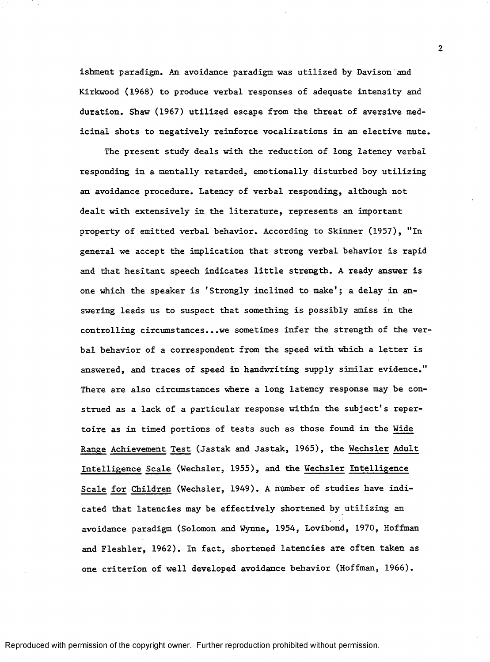ishment paradigm. An avoidance paradigm was utilized by Davison and Kirkwood (1968) to produce verbal responses of adequate intensity and duration. Shaw (1967) utilized escape from the threat of aversive medicinal shots to negatively reinforce vocalizations in an elective mute.

The present study deals with the reduction of long latency verbal responding in a mentally retarded, emotionally disturbed boy utilizing an avoidance procedure. Latency of verbal responding, although not dealt with extensively in the literature, represents an important property of emitted verbal behavior. According to Skinner (1957), "In general we accept the implication that strong verbal behavior is rapid and that hesitant speech indicates little strength. A ready answer is one which the speaker is 'Strongly inclined to make'; a delay in answering leads us to suspect that something is possibly amiss in the controlling circumstances...we sometimes infer the strength of the verbal behavior of a correspondent from the speed with which a letter is answered, and traces of speed in handwriting supply similar evidence." There are also circumstances where a long latency response may be construed as a lack of a particular response within the subject's repertoire as in timed portions of tests such as those found in the Wide Range Achievement Test (Jastak and Jastak, 1965), the Wechsler Adult Intelligence Scale (Wechsler, 1955), and the Wechsler Intelligence Scale for Children (Wechsler, 1949). A number of studies have indicated that latencies may be effectively shortened by utilizing an avoidance paradigm (Solomon and Wynne, 1954, Lovibond, 1970, Hoffman and Fleshier, 1962). In fact, shortened latencies are often taken as one criterion of well developed avoidance behavior (Hoffman, 1966).

 $\overline{2}$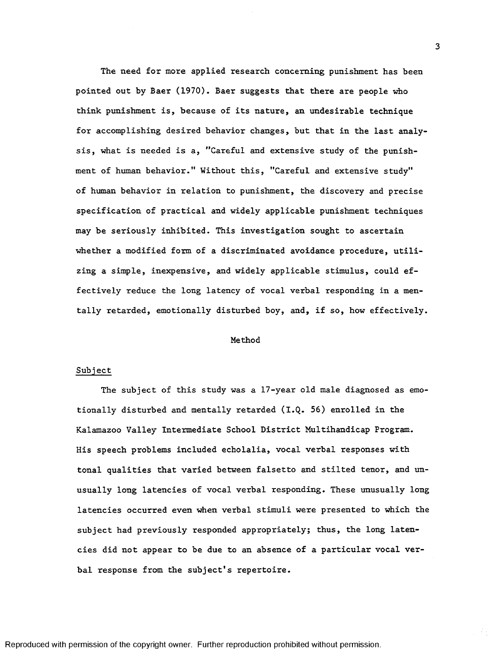The need for more applied research concerning punishment has been pointed out by Baer (1970). Baer suggests that there are people who think punishment is, because of its nature, an undesirable technique for accomplishing desired behavior changes, but that in the last analysis, what is needed is a, "Careful and extensive study of the punishment of human behavior." Without this, "Careful and extensive study" of human behavior in relation to punishment, the discovery and precise specification of practical and widely applicable punishment techniques may be seriously inhibited. This investigation sought to ascertain whether a modified form of a discriminated avoidance procedure, utilizing a simple, inexpensive, and widely applicable stimulus, could effectively reduce the long latency of vocal verbal responding in a mentally retarded, emotionally disturbed boy, and, if so, how effectively.

#### Method

#### Subject

The subject of this study was a 17-year old male diagnosed as emotionally disturbed and mentally retarded (I.Q. 56) enrolled in the Kalamazoo Valley Intermediate School District Multihandicap Program. His speech problems included echolalia, vocal verbal responses with tonal qualities that varied between falsetto and stilted tenor, and unusually long latencies of vocal verbal responding. These unusually long latencies occurred even when verbal stimuli were presented to which the subject had previously responded appropriately; thus, the long latencies did not appear to be due to an absence of a particular vocal verbal response from the subject's repertoire.

 $\overline{3}$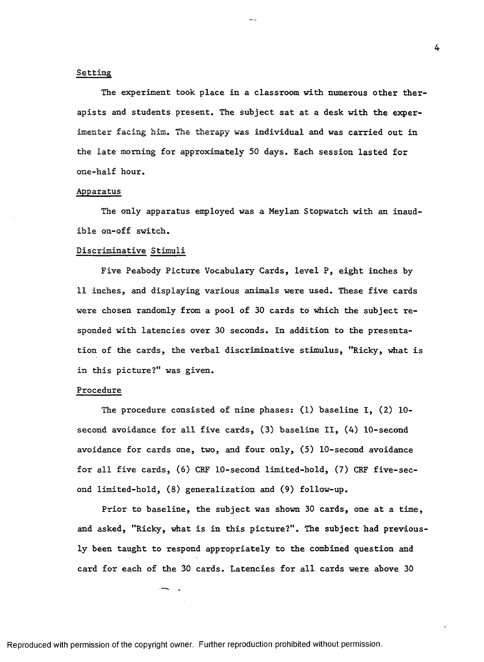#### Setting

The experiment took place in a classroom with numerous other therapists and students present. The subject sat at a desk with the experimenter facing him. The therapy was individual and was carried out in the late morning for approximately 50 days. Each session lasted for one-half hour.

#### Apparatus

The only apparatus employed was a Meylan Stopwatch with an inaudible on-off switch.

#### Discriminative Stimuli

Five Peabody Picture Vocabulary Cards, level P, eight inches by 11 inches, and displaying various animals were used. These five cards were chosen randomly from a pool of 30 cards to which the subject responded with latencies over 30 seconds. In addition to the presentation of the cards, the verbal discriminative stimulus, "Ricky, what is in this picture?" was given.

#### Procedure

The procedure consisted of nine phases: (1) baseline I, (2) 10 second avoidance for all five cards, (3) baseline II, (4) 10-second avoidance for cards one, two, and four only, (5) 10-second avoidance for all five cards, (6) CRF 10-second limited-hold, (7) CRF five-second limited-hold, (8) generalization and (9) follow-up.

Prior to baseline, the subject was shown 30 cards, one at a time, and asked, "Ricky, what is in this picture?". The subject had previously been taught to respond appropriately to the combined question and card for each of the 30 cards. Latencies for all cards were above 30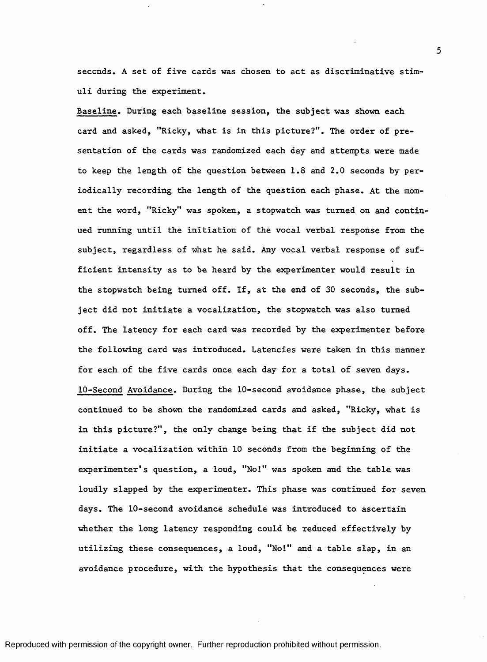seconds. A set of five cards was chosen to act as discriminative stimuli during the experiment.

Baseline. During each baseline session, the subject was shown each card and asked, "Ricky, what is in this picture?". The order of presentation of the cards was randomized each day and attempts were made to keep the length of the question between 1.8 and 2.0 seconds by periodically recording the length of the question each phase. At the moment the word, "Ricky" was spoken, a stopwatch was turned on and continued running until the initiation of the vocal verbal response from the subject, regardless of what he said. Any vocal verbal response of sufficient intensity as to be heard by the experimenter would result in the stopwatch being turned off. If, at the end of 30 seconds, the subject did not initiate a vocalization, the stopwatch was also turned off. The latency for each card was recorded by the experimenter before the following card was introduced. Latencies were taken in this manner for each of the five cards once each day for a total of seven days. 10-Second Avoidance. During the 10-second avoidance phase, the subject continued to be shown the randomized cards and asked, "Ricky, what is in this picture?", the only change being that if the subject did not initiate a vocalization within 10 seconds from the beginning of the experimenter's question, a loud, "No!" was spoken and the table was loudly slapped by the experimenter. This phase was continued for seven days. The 10-second avoidance schedule was introduced to ascertain whether the long latency responding could be reduced effectively by utilizing these consequences, a loud, "No!" and a table slap, in an avoidance procedure, with the hypothesis that the consequences were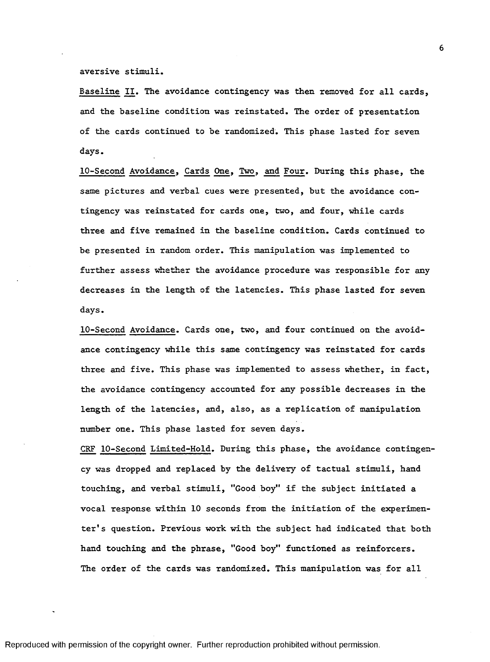aversive stimuli.

Baseline II. The avoidance contingency was then removed for all cards, and the baseline condition was reinstated. The order of presentation of the cards continued to be randomized. This phase lasted for seven days.

10-Second Avoidance, Cards One, Two, and Four. During this phase, the same pictures and verbal cues were presented, but the avoidance contingency was reinstated for cards one, two, and four, while cards three and five remained in the baseline condition. Cards continued to be presented in random order. This manipulation was implemented to further assess whether the avoidance procedure was responsible for any decreases in the length of the latencies. This phase lasted for seven days.

10-Second Avoidance. Cards one, two, and four continued on the avoidance contingency while this same contingency was reinstated for cards three and five. This phase was implemented to assess whether, in fact, the avoidance contingency accounted for any possible decreases in the length of the latencies, and, also, as a replication of manipulation number one. This phase lasted for seven days.

CRF 10-Second Limited-Hold. During this phase, the avoidance contingency was dropped and replaced by the delivery of tactual stimuli, hand touching, and verbal stimuli, "Good boy" if the subject initiated a vocal response within 10 seconds from the initiation of the experimenter's question. Previous work with the subject had indicated that both hand touching and the phrase, "Good boy" functioned as reinforcers. The order of the cards was randomized. This manipulation was for all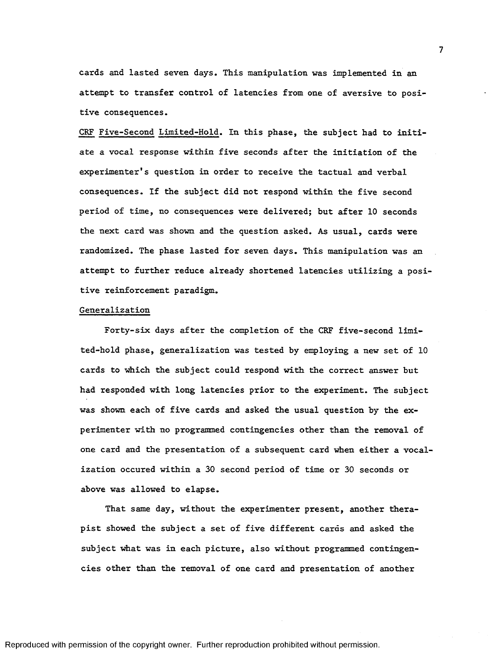cards and lasted seven days. This manipulation was implemented in an attempt to transfer control of latencies from one of aversive to positive consequences.

CRF Five-Second Limited-Hold. In this phase, the subject had to initiate a vocal response within five seconds after the initiation of the experimenter's question in order to receive the tactual and verbal consequences. If the subject did not respond within the five second period of time, no consequences were delivered; but after 10 seconds the next card was shown and the question asked. As usual, cards were randomized. The phase lasted for seven days. This manipulation was an attempt to further reduce already shortened latencies utilizing a positive reinforcement paradigm.

#### Generalization

Forty-six days after the completion of the CRF five-second limited-hold phase, generalization was tested by employing a new set of 10 cards to which the subject could respond with the correct answer but had responded with long latencies prior to the experiment. The subject was shown each of five cards and asked the usual question by the experimenter with no programmed contingencies other than the removal of one card and the presentation of a subsequent card when either a vocalization occured within a 30 second period of time or 30 seconds or above was allowed to elapse.

That same day, without the experimenter present, another therapist showed the subject a set of five different cards and asked the subject what was in each picture, also without programmed contingencies other than the removal of one card and presentation of another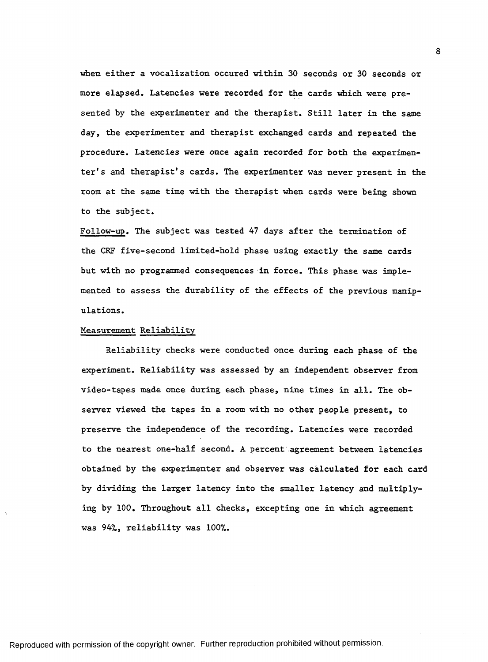when either a vocalization occured within 30 seconds or 30 seconds or more elapsed. Latencies were recorded for the cards which were presented by the experimenter and the therapist. Still later in the same day, the experimenter and therapist exchanged cards and repeated the procedure. Latencies were once again recorded for both the experimenter's and therapist's cards. The experimenter was never present in the room at the same time with the therapist when cards were being shown to the subject.

Follow-up. The subject was tested 47 days after the termination of the CRF five-second limited-hold phase using exactly the same cards but with no programmed consequences in force. This phase was implemented to assess the durability of the effects of the previous manipulations.

#### Measurement Reliability

Reliability checks were conducted once during each phase of the experiment. Reliability was assessed by an independent observer from video-tapes made once during each phase, nine times in all. The observer viewed the tapes in a room with no other people present, to preserve the independence of the recording. Latencies were recorded to the nearest one-half second. A percent agreement between latencies obtained by the experimenter and observer was calculated for each card by dividing the larger latency into the smaller latency and multiplying by 100. Throughout all checks, excepting one in which agreement was 947., reliability was 100%.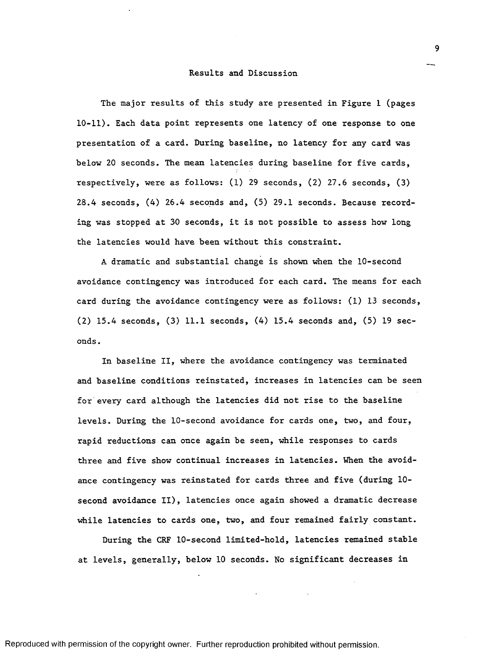#### Results and Discussion

The major results of this study are presented in Figure 1 (pages 10-11). Each data point represents one latency of one response to one presentation of a card. During baseline, no latency for any card was below 20 seconds. The mean latencies during baseline for five cards, respectively, were as follows: (1) 29 seconds, (2) 27.6 seconds, (3) 28.4 seconds, (4) 26.4 seconds and, (5) 29.1 seconds. Because recording was stopped at 30 seconds, it is not possible to assess how long the latencies would have been without this constraint.

A dramatic and substantial change is shown when the 10-second avoidance contingency was introduced for each card. The means for each card during the avoidance contingency were as follows: (1) 13 seconds, (2) 15.4 seconds, (3) 11.1 seconds, (4) 15.4 seconds and, (5) 19 seconds.

In baseline II, where the avoidance contingency was terminated and baseline conditions reinstated, increases in latencies can be seen for every card although the latencies did not rise to the baseline levels. During the 10-second avoidance for cards one, two, and four, rapid reductions can once again be seen, while responses to cards three and five show continual increases in latencies. When the avoidance contingency was reinstated for cards three and five (during 10 second avoidance II), latencies once again showed a dramatic decrease while latencies to cards one, two, and four remained fairly constant.

During the CRF 10-second limited-hold, latencies remained stable at levels, generally, below 10 seconds. No significant decreases in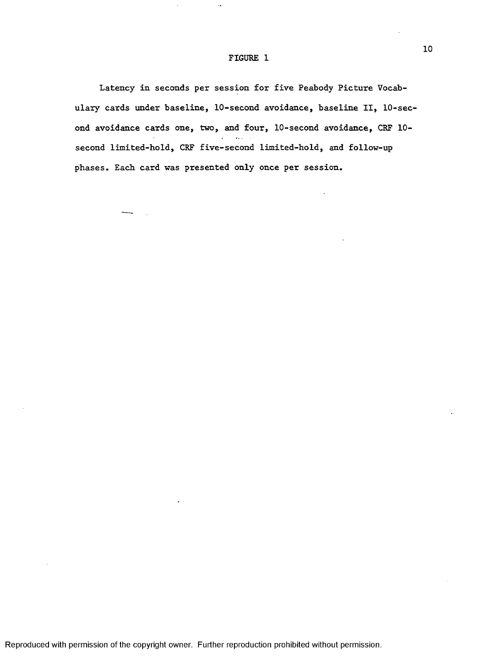Latency in seconds per session for five Peabody Picture Vocabulary cards under baseline, 10-second avoidance, baseline II, 10-second avoidance cards one, two, and four, 10-second avoidance, CRF 10 second limited-hold, CRF five-second limited-hold, and follow-up phases. Each card was presented only once per session.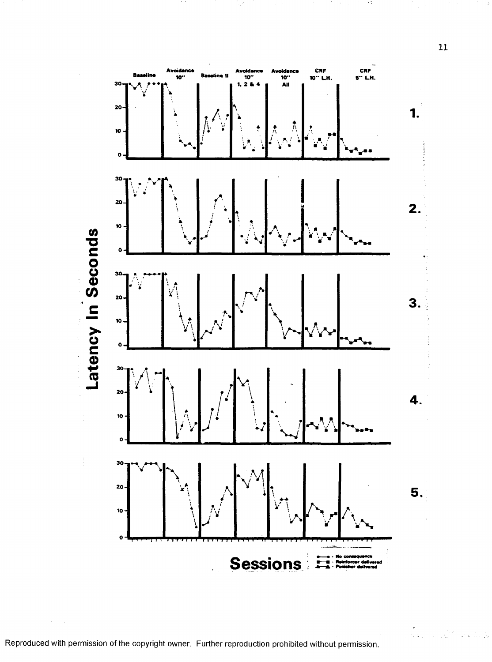

**Reproduced with permission of the copyright owner. Further reproduction prohibited without permission.**

 $11$ 

×t,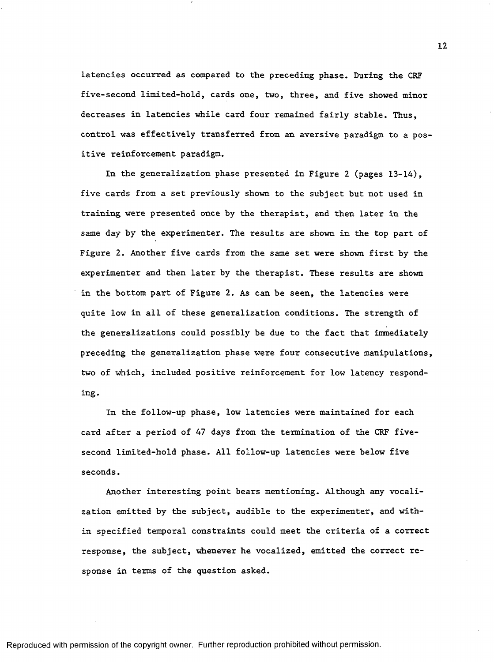latencies occurred as compared to the preceding phase. During the CRF five-second limited-hold, cards one, two, three, and five showed minor decreases in latencies while card four remained fairly stable. Thus, control was effectively transferred from an aversive paradigm to a positive reinforcement paradigm.

In the generalization phase presented in Figure 2 (pages 13-14), five cards from a set previously shown to the subject but not used in training were presented once by the therapist, and then later in the same day by the experimenter. The results are shown in the top part of Figure 2. Another five cards from the same set were shown first by the experimenter and then later by the therapist. These results are shown in the bottom part of Figure 2. As can be seen, the latencies were quite low in all of these generalization conditions. The strength of the generalizations could possibly be due to the fact that immediately preceding the generalization phase were four consecutive manipulations, two of which, included positive reinforcement for low latency responding.

In the follow-up phase, low latencies were maintained for each card after a period of 47 days from the termination of the CRF fivesecond limited-hold phase. All follow-up latencies were below five seconds.

Another interesting point bears mentioning. Although any vocalization emitted by the subject, audible to the experimenter, and within specified temporal constraints could meet the criteria of a correct response, the subject, whenever he vocalized, emitted the correct response in terms of the question asked.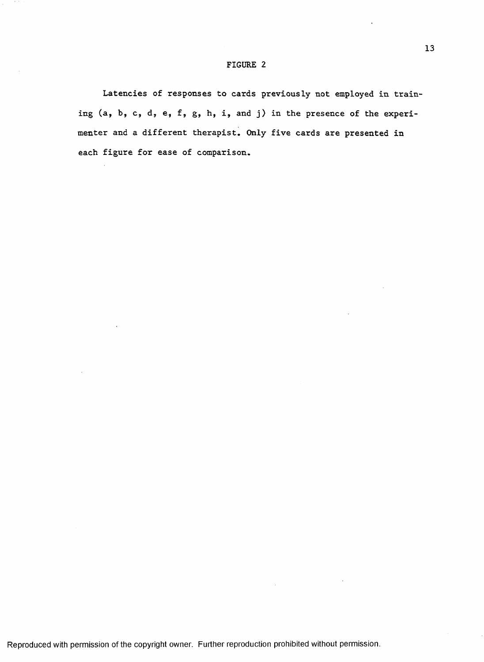Latencies of responses to cards previously not employed in training (a, b, c, d, e, f, g, h, i, and j) in the presence of the experimenter and a different therapist. Only five cards are presented in each figure for ease of comparison.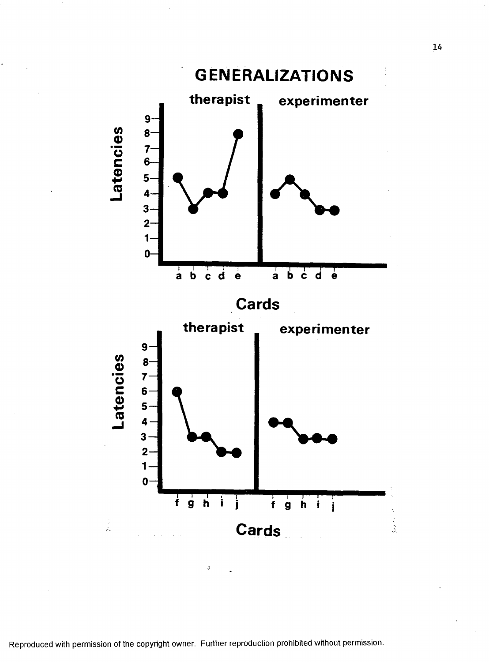<span id="page-19-0"></span>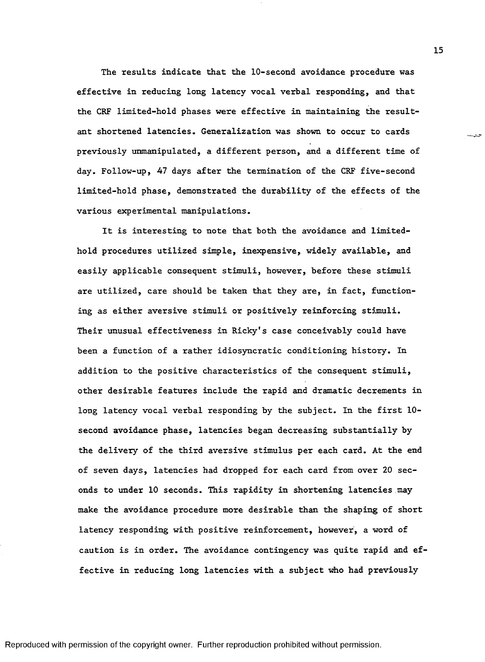The results indicate that the 10-second avoidance procedure was effective in reducing long latency vocal verbal responding, and that the CRF limited-hold phases were effective in maintaining the resultant shortened latencies. Generalization was shown to occur to cards previously unmanipulated, a different person, and a different time of day. Follow-up, 47 days after the termination of the CRF five-second limited-hold phase, demonstrated the durability of the effects of the various experimental manipulations.

It is interesting to note that both the avoidance and limitedhold procedures utilized simple, inexpensive, widely available, and easily applicable consequent stimuli, however, before these stimuli are utilized, care should be taken that they are, in fact, functioning as either aversive stimuli or positively reinforcing stimuli. Their unusual effectiveness in Ricky's case conceivably could have been a function of a rather idiosyncratic conditioning history. In addition to the positive characteristics of the consequent stimuli, other desirable features include the rapid and dramatic decrements in long latency vocal verbal responding by the subject. In the first 10 second avoidance phase, latencies began decreasing substantially by the delivery of the third aversive stimulus per each card. At the end of seven days, latencies had dropped for each card from over 20 seconds to under 10 seconds. This rapidity in shortening latencies may make the avoidance procedure more desirable than the shaping of short latency responding with positive reinforcement, however, a word of caution is in order. The avoidance contingency was quite rapid and effective in reducing long latencies with a subject who had previously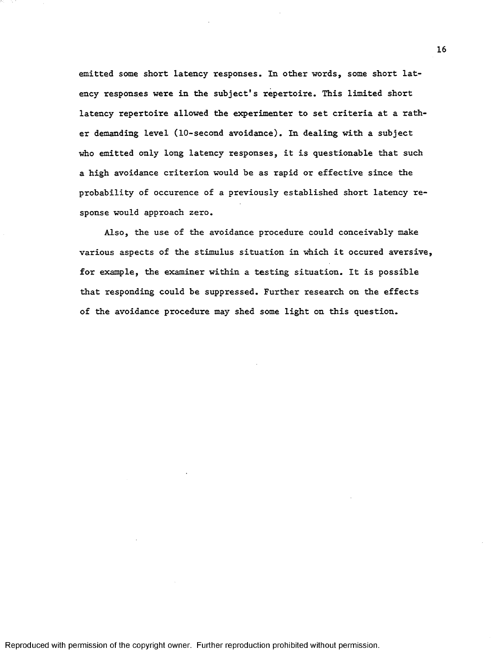emitted some short latency responses. In other words, some short latency responses were in the subject's repertoire. This limited short latency repertoire allowed the experimenter to set criteria at a rather demanding level (10-second avoidance). In dealing with a subject who emitted only long latency responses, it is questionable that such a high avoidance criterion would be as rapid or effective since the probability of occurence of a previously established short latency response would approach zero.

Also, the use of the avoidance procedure could conceivably make various aspects of the stimulus situation in which it occured aversive, for example, the examiner within a testing situation. It is possible that responding could be suppressed. Further research on the effects of the avoidance procedure may shed some light on this question.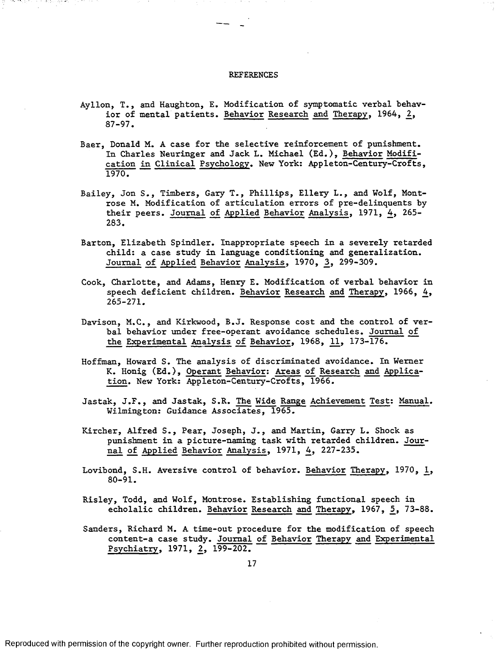#### REFERENCES

the company

international and continued

- Ayllon, T., and Haughton, E. Modification of symptomatic verbal behavior of mental patients. Behavior Research and Therapy, 1964, *2^t* 87-97.
- Baer, Donald M. A case for the selective reinforcement of punishment. In Charles Neuringer and Jack L. Michael (Ed.), Behavior Modification in Clinical Psychology. New York: Appleton-Century-Crofts, 1970.
- Bailey, Jon S., Timbers, Gary T., Phillips, Ellery L., and Wolf, Montrose M. Modification of articulation errors of pre-delinquents by their peers. Journal of Applied Behavior Analysis, 1971, 4, 265- 283.
- Barton, Elizabeth Spindler. Inappropriate speech in a severely retarded child: a case study in language conditioning and generalization. Journal of Applied Behavior Analysis, 1970, 3, 299-309.
- Cook, Charlotte, and Adams, Henry E. Modification of verbal behavior in speech deficient children. Behavior Research and Therapy, 1966, 4, 265-271.
- Davison, M.C., and Kirkwood, B.J. Response cost and the control of verbal behavior under free-operant avoidance schedules. Journal of the Experimental Analysis of Behavior, 1968, 11, 173-176.
- Hoffman, Howard S. The analysis of discriminated avoidance. In Werner K. Honig (Ed.), Operant Behavior: Areas of Research and Application. New York: Appleton-Century-Crofts, 1966.
- Jastak, J.F., and Jastak, S.R. The Wide Range Achievement Test: Manual. Wilmington: Guidance Associates, 1965.
- Kircher, Alfred S., Pear, Joseph, J., and Martin, Garry L. Shock as punishment in a picture-naming task with retarded children. Journal of Applied Behavior Analysis, 1971, 4, 227-235.
- Lovibond, S.H. Aversive control of behavior. Behavior Therapy, 1970, 1, 80-91.
- Risley, Todd, and Wolf, Montrose. Establishing functional speech in echolalic children. Behavior Research and Therapy, 1967, 5, 73-88.
- Sanders, Richard M. A time-out procedure for the modification of speech content-a case study. Journal of Behavior Therapy and Experimental Psychiatry, 1971, 2, 199-202.